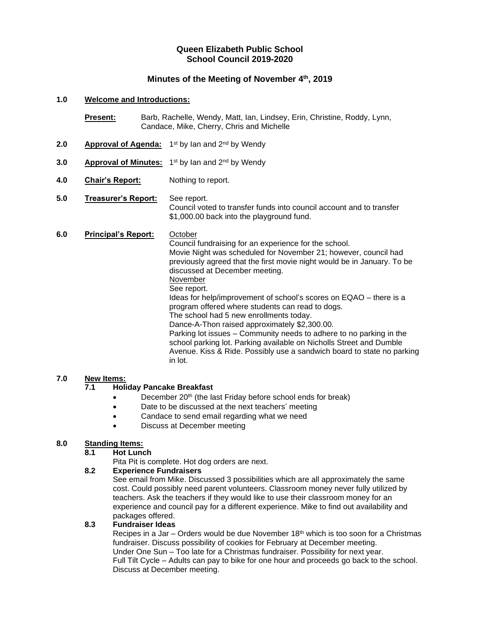## **Queen Elizabeth Public School School Council 2019-2020**

## **Minutes of the Meeting of November 4th, 2019**

### **1.0 Welcome and Introductions:**

**Present:** Barb, Rachelle, Wendy, Matt, Ian, Lindsey, Erin, Christine, Roddy, Lynn, Candace, Mike, Cherry, Chris and Michelle 2.0 **Approval of Agenda:** 1<sup>st</sup> by lan and 2<sup>nd</sup> by Wendy

- **3.0** •• **Approval of Minutes:** 1<sup>st</sup> by lan and 2<sup>nd</sup> by Wendy
- **4.0 Chair's Report:** Nothing to report.
- **5.0 Treasurer's Report:** See report. Council voted to transfer funds into council account and to transfer \$1,000.00 back into the playground fund.
- **6.0 Principal's Report:** October

Council fundraising for an experience for the school. Movie Night was scheduled for November 21; however, council had previously agreed that the first movie night would be in January. To be discussed at December meeting. November See report. Ideas for help/improvement of school's scores on EQAO – there is a program offered where students can read to dogs. The school had 5 new enrollments today. Dance-A-Thon raised approximately \$2,300.00. Parking lot issues – Community needs to adhere to no parking in the school parking lot. Parking available on Nicholls Street and Dumble Avenue. Kiss & Ride. Possibly use a sandwich board to state no parking in lot.

## **7.0 New Items:**

# **7.1 Holiday Pancake Breakfast**

- December  $20<sup>th</sup>$  (the last Friday before school ends for break)
- Date to be discussed at the next teachers' meeting
- Candace to send email regarding what we need
- Discuss at December meeting

## **8.0 Standing Items:**

**8.1 Hot Lunch**

Pita Pit is complete. Hot dog orders are next.

# **8.2 Experience Fundraisers**

See email from Mike. Discussed 3 possibilities which are all approximately the same cost. Could possibly need parent volunteers. Classroom money never fully utilized by teachers. Ask the teachers if they would like to use their classroom money for an experience and council pay for a different experience. Mike to find out availability and packages offered.

#### **8.3 Fundraiser Ideas**

Recipes in a Jar – Orders would be due November  $18<sup>th</sup>$  which is too soon for a Christmas fundraiser. Discuss possibility of cookies for February at December meeting. Under One Sun – Too late for a Christmas fundraiser. Possibility for next year. Full Tilt Cycle – Adults can pay to bike for one hour and proceeds go back to the school. Discuss at December meeting.